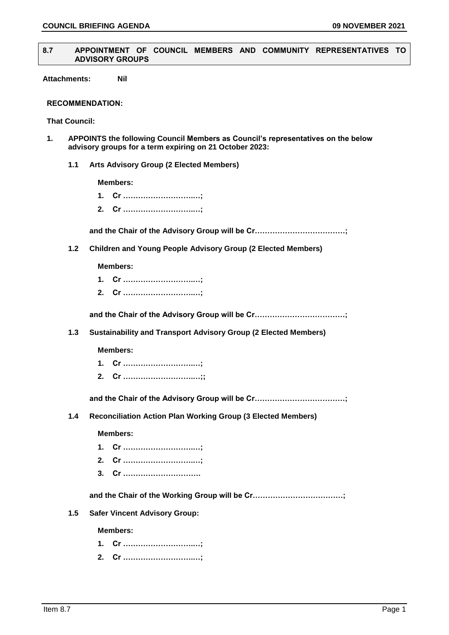#### **8.7 APPOINTMENT OF COUNCIL MEMBERS AND COMMUNITY REPRESENTATIVES TO ADVISORY GROUPS**

**Attachments: Nil**

#### **RECOMMENDATION:**

**That Council:**

- **1. APPOINTS the following Council Members as Council's representatives on the below advisory groups for a term expiring on 21 October 2023:**
	- **1.1 Arts Advisory Group (2 Elected Members)**

**Members:**

- **1. Cr ……………………….…;**
- **2. Cr ……………………….…;**

**and the Chair of the Advisory Group will be Cr………………………………;**

**1.2 Children and Young People Advisory Group (2 Elected Members)**

#### **Members:**

- **1. Cr ……………………….…;**
- **2. Cr ……………………….…;**

**and the Chair of the Advisory Group will be Cr………………………………;**

**1.3 Sustainability and Transport Advisory Group (2 Elected Members)**

**Members:**

- **1. Cr ……………………….…;**
- **2. Cr ……………………….…;;**

**and the Chair of the Advisory Group will be Cr………………………………;**

**1.4 Reconciliation Action Plan Working Group (3 Elected Members)**

#### **Members:**

- **1. Cr ……………………….…;**
- **2. Cr ……………………….…;**
- **3. Cr ………………………….**

**and the Chair of the Working Group will be Cr………………………………;**

**1.5 Safer Vincent Advisory Group:**

**Members:**

- **1. Cr ……………………….…;**
- **2. Cr ……………………….…;**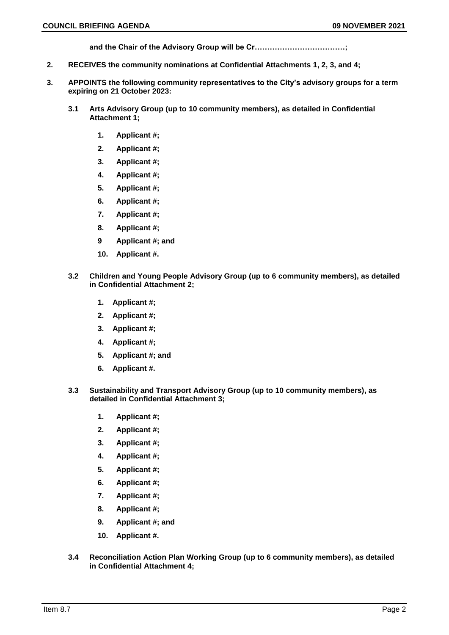**and the Chair of the Advisory Group will be Cr………………………………;**

- **2. RECEIVES the community nominations at Confidential Attachments 1, 2, 3, and 4;**
- **3. APPOINTS the following community representatives to the City's advisory groups for a term expiring on 21 October 2023:**
	- **3.1 Arts Advisory Group (up to 10 community members), as detailed in Confidential Attachment 1;**
		- **1. Applicant #;**
		- **2. Applicant #;**
		- **3. Applicant #;**
		- **4. Applicant #;**
		- **5. Applicant #;**
		- **6. Applicant #;**
		- **7. Applicant #;**
		- **8. Applicant #;**
		- **9 Applicant #; and**
		- **10. Applicant #.**
	- **3.2 Children and Young People Advisory Group (up to 6 community members), as detailed in Confidential Attachment 2;**
		- **1. Applicant #;**
		- **2. Applicant #;**
		- **3. Applicant #;**
		- **4. Applicant #;**
		- **5. Applicant #; and**
		- **6. Applicant #.**
	- **3.3 Sustainability and Transport Advisory Group (up to 10 community members), as detailed in Confidential Attachment 3;**
		- **1. Applicant #;**
		- **2. Applicant #;**
		- **3. Applicant #;**
		- **4. Applicant #;**
		- **5. Applicant #;**
		- **6. Applicant #;**
		- **7. Applicant #;**
		- **8. Applicant #;**
		- **9. Applicant #; and**
		- **10. Applicant #.**
	- **3.4 Reconciliation Action Plan Working Group (up to 6 community members), as detailed in Confidential Attachment 4;**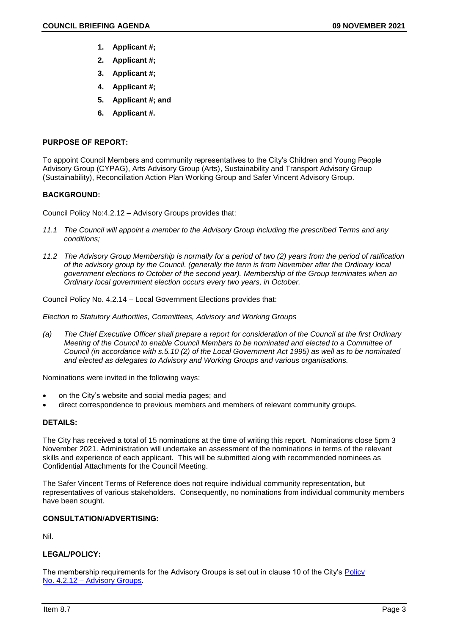- **1. Applicant #;**
- **2. Applicant #;**
- **3. Applicant #;**
- **4. Applicant #;**
- **5. Applicant #; and**
- **6. Applicant #.**

# **PURPOSE OF REPORT:**

To appoint Council Members and community representatives to the City's Children and Young People Advisory Group (CYPAG), Arts Advisory Group (Arts), Sustainability and Transport Advisory Group (Sustainability), Reconciliation Action Plan Working Group and Safer Vincent Advisory Group.

# **BACKGROUND:**

Council Policy No:4.2.12 – Advisory Groups provides that:

- *11.1 The Council will appoint a member to the Advisory Group including the prescribed Terms and any conditions;*
- *11.2 The Advisory Group Membership is normally for a period of two (2) years from the period of ratification of the advisory group by the Council. (generally the term is from November after the Ordinary local government elections to October of the second year). Membership of the Group terminates when an Ordinary local government election occurs every two years, in October.*

Council Policy No. 4.2.14 – Local Government Elections provides that:

*Election to Statutory Authorities, Committees, Advisory and Working Groups*

*(a) The Chief Executive Officer shall prepare a report for consideration of the Council at the first Ordinary Meeting of the Council to enable Council Members to be nominated and elected to a Committee of Council (in accordance with s.5.10 (2) of the Local Government Act 1995) as well as to be nominated and elected as delegates to Advisory and Working Groups and various organisations.*

Nominations were invited in the following ways:

- on the City's website and social media pages; and
- direct correspondence to previous members and members of relevant community groups.

# **DETAILS:**

The City has received a total of 15 nominations at the time of writing this report. Nominations close 5pm 3 November 2021. Administration will undertake an assessment of the nominations in terms of the relevant skills and experience of each applicant. This will be submitted along with recommended nominees as Confidential Attachments for the Council Meeting.

The Safer Vincent Terms of Reference does not require individual community representation, but representatives of various stakeholders. Consequently, no nominations from individual community members have been sought.

# **CONSULTATION/ADVERTISING:**

Nil.

# **LEGAL/POLICY:**

The membership requirements for the Advisory Groups is set out in clause 10 of the City's [Policy](https://www.vincent.wa.gov.au/documents/589/4212-advisory-groups) No. 4.2.12 – [Advisory Groups.](https://www.vincent.wa.gov.au/documents/589/4212-advisory-groups)